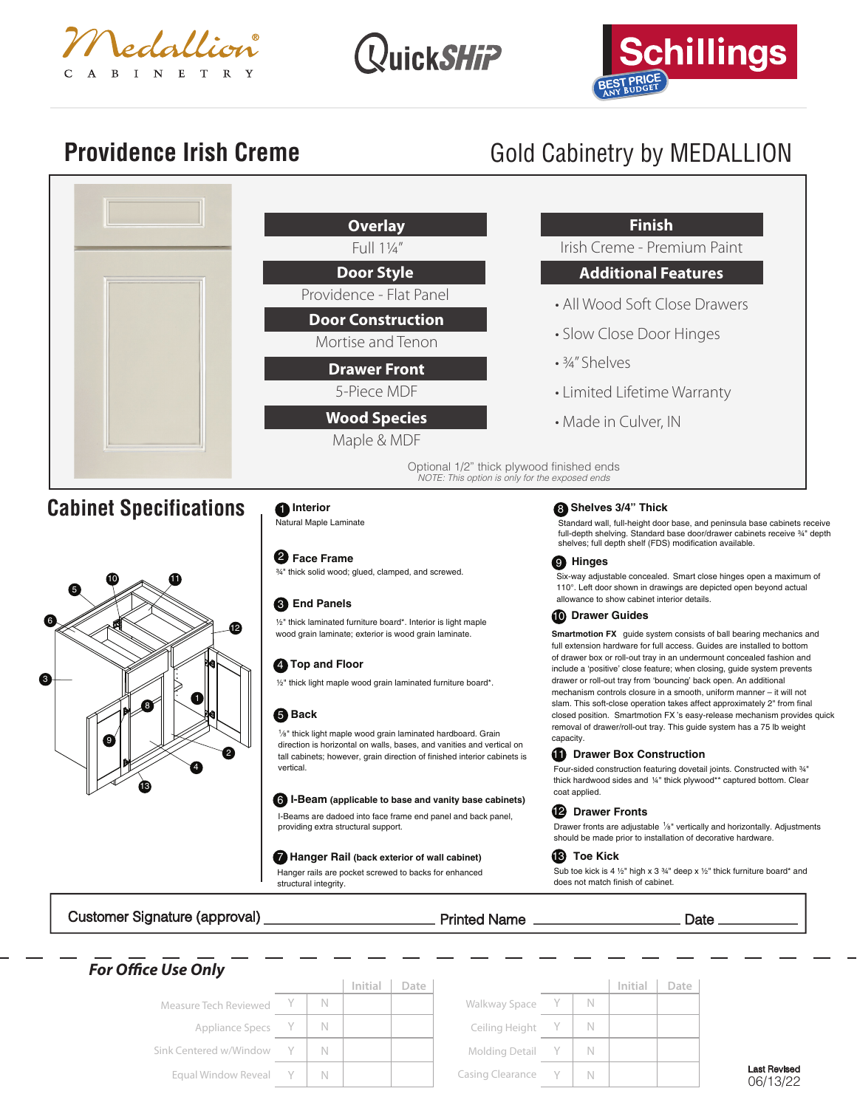





## **Providence Irish Creme** Gold Cabinetry by MEDALLION



Customer Signature (approval) Printed Name Date

| <b>For Office Use Only</b> |     |         |      |                         |    |         |      |
|----------------------------|-----|---------|------|-------------------------|----|---------|------|
|                            |     | Initial | Date |                         |    | Initial | Date |
| Measure Tech Reviewed      | - N |         |      | Walkway Space           | N. |         |      |
| Appliance Specs Y          | - N |         |      | Ceiling Height          |    |         |      |
| Sink Centered w/Window     |     |         |      | Molding Detail Y        |    |         |      |
| Equal Window Reveal Y      | - N |         |      | <b>Casing Clearance</b> | N  |         |      |